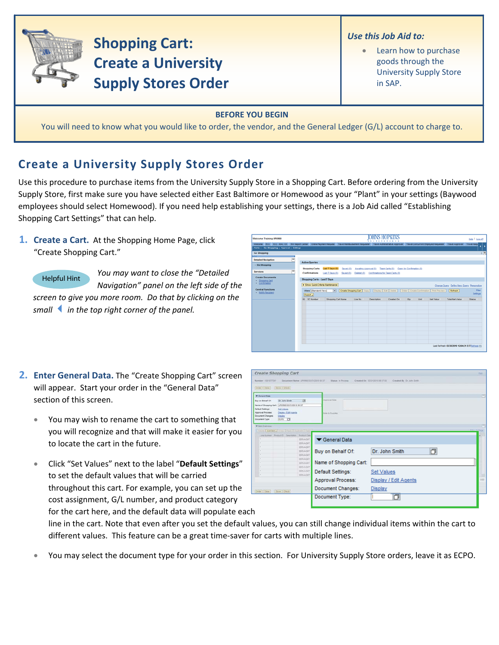

## **Shopping Cart: Create a University Supply Stores Order**

- *Use this Job Aid to:*
	- Learn how to purchase goods through the University Supply Store in SAP.

## **BEFORE YOU BEGIN**

You will need to know what you would like to order, the vendor, and the General Ledger (G/L) account to charge to.

## **Create a University Supply Stores Order**

Use this procedure to purchase items from the University Supply Store in a Shopping Cart. Before ordering from the University Supply Store, first make sure you have selected either East Baltimore or Homewood as your "Plant" in your settings (Baywood employees should select Homewood). If you need help establishing your settings, there is a Job Aid called "Establishing Shopping Cart Settings" that can help.

**1. Create a Cart.** At the Shopping Home Page, click "Create Shopping Cart."

Helpful Hint

*You may want to close the "Detailed Navigation" panel on the left side of the screen to give you more room. Do that by clicking on the smallin the top right corner of the panel.*



**JOHNS HOPKINS** 

- **2. Enter General Data.** The "Create Shopping Cart" screen will appear. Start your order in the "General Data" section of this screen.
	- You may wish to rename the cart to something that you will recognize and that will make it easier for you to locate the cart in the future.
	- Click "Set Values" next to the label "**Default Settings**" to set the default values that will be carried throughout this cart. For example, you can set up the cost assignment, G/L number, and product category for the cart here, and the default data will populate each

| Create Shopping Cart                           |                                                  |                                     |                          |                                                             | <b>Turn</b>   |
|------------------------------------------------|--------------------------------------------------|-------------------------------------|--------------------------|-------------------------------------------------------------|---------------|
| Barnber, 1001077201                            |                                                  | Document Name UPUREZ ESQ10310 05 ST | <b>Hatus</b> in Process. | Created De 15/31/2016 19:37:58<br>Crasted By Dr. John Smith |               |
| Didar Close   Bave   Check                     |                                                  |                                     |                          |                                                             |               |
| Canaral Data                                   |                                                  |                                     |                          |                                                             | c             |
| Buy on Behalf Of                               | Dr. John Smith                                   | 西                                   | Auspracial links         |                                                             |               |
| Name of Shopping Cart. UPURED 03/31/2010 09:37 |                                                  |                                     |                          |                                                             |               |
| Default Settings:<br>Approval Process.         | <b>Set Values</b><br>Depart (Ed) Agents          |                                     | Arm to Succiar           |                                                             |               |
| <b>Document Changes</b><br>Document Type:      | Creater<br>toro [7]                              |                                     |                          |                                                             |               |
| W fars Dyervice                                |                                                  |                                     |                          |                                                             | ۰             |
|                                                | Sidale   AM New J Corp   Fears   Dustries   Data |                                     |                          | <b>Tital Setting</b>                                        |               |
|                                                | Leaturear Policit) Cescress Protect Case         |                                     |                          |                                                             |               |
| ×                                              |                                                  | <b>SERVADAT</b>                     | General Data             |                                                             |               |
|                                                |                                                  | <b>SERVADIT</b><br>SERVADIT         |                          |                                                             |               |
|                                                |                                                  | <b>SERVADIST</b>                    | Buy on Behalf Of:        | O<br>Dr. John Smith                                         |               |
|                                                |                                                  | SERVAGNT<br>SERVADIT                |                          |                                                             |               |
|                                                |                                                  | <b>SERVAGNY</b>                     | Name of Shopping Cart:   |                                                             |               |
|                                                |                                                  | <b>SERVADIT</b>                     |                          |                                                             |               |
| ÷                                              |                                                  | SERVADIT<br>SERVAGNT                | Default Settings:        | <b>Set Values</b>                                           |               |
|                                                |                                                  |                                     | Approval Process:        | Display / Edit Agents                                       | <b>Little</b> |
|                                                |                                                  |                                     | Document Changes:        | Display                                                     |               |
| Order   Close     Save   Olava                 |                                                  |                                     |                          |                                                             |               |
|                                                |                                                  |                                     | Document Type:           | 巾                                                           |               |
|                                                |                                                  |                                     |                          |                                                             |               |

line in the cart. Note that even after you set the default values, you can still change individual items within the cart to different values. This feature can be a great time‐saver for carts with multiple lines.

• You may select the document type for your order in this section. For University Supply Store orders, leave it as ECPO.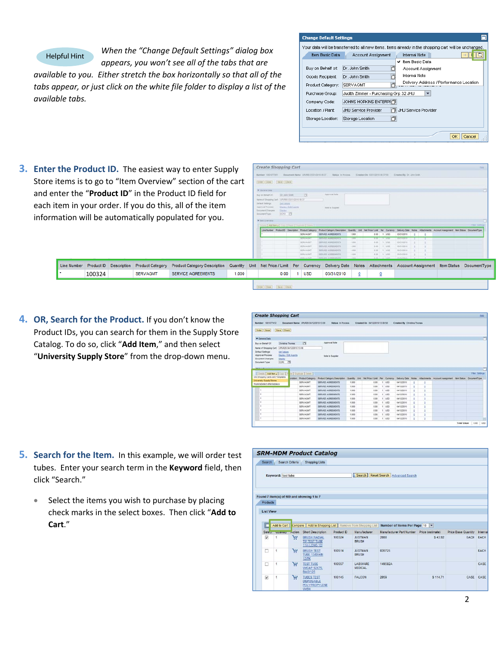

*When the "Change Default Settings" dialog box appears, you won't see all of the tabs that are*

*available to you. Either stretch the box horizontally so that all of the tabs appear, or just click on the white file folder to display a list of the available tabs.*

| <b>Change Default Settings</b> |                                                                                                       |
|--------------------------------|-------------------------------------------------------------------------------------------------------|
|                                | Your data will be transferred to all new items, items already in the shopping cart will be unchanged. |
| Item Basic Data                | <b>Internal Note</b><br>Account Assignment                                                            |
|                                | Item Basic Data<br>v                                                                                  |
| Buy on Behalf of:              | 卣<br>Dr. John Smith<br>Account Assignment                                                             |
| Goods Recipient:               | <b>Internal Note</b><br>Dr. John Smith                                                                |
| Product Category:              | Delivery Address / Performance Location<br>SERVAGMT                                                   |
| Purchase Group:                | Judith Zimmer - Purchasing Grp 32 JHU<br>$\overline{\phantom{a}}$                                     |
| Company Code:                  | JOHNS HOPKINS ENTERPH门                                                                                |
| Location / Plant:              | <b>JHLI Service Provider</b><br>JHU Service Provider                                                  |
| Storage Location:              | 门<br>Storage Location                                                                                 |
|                                | Cancel<br>OK                                                                                          |

**3. Enter the Product ID.** The easiest way to enter Supply Store items is to go to "Item Overview" section of the ca and enter the "**Product ID**" in the Product ID field for each item in your order. If you do this, all of the item information will be automatically populated for you.

|             |            |                    |                         | <b>the Product ID.</b> The easiest way to enter Supply                                                                                                           |          |      | <i><b>LICALE SHOPPHIQ LATE</b></i><br><b>Burnstand 1001077201</b>                                                                                                                                        |                                                                                            |                                                                                                                                                                                                                                                                                                                                                                                                                                                                                                                                                                                                                                                                                                                                                                                                                                                                                                                                                                                                                                                                                |            |            |                         |   |  |  |  |
|-------------|------------|--------------------|-------------------------|------------------------------------------------------------------------------------------------------------------------------------------------------------------|----------|------|----------------------------------------------------------------------------------------------------------------------------------------------------------------------------------------------------------|--------------------------------------------------------------------------------------------|--------------------------------------------------------------------------------------------------------------------------------------------------------------------------------------------------------------------------------------------------------------------------------------------------------------------------------------------------------------------------------------------------------------------------------------------------------------------------------------------------------------------------------------------------------------------------------------------------------------------------------------------------------------------------------------------------------------------------------------------------------------------------------------------------------------------------------------------------------------------------------------------------------------------------------------------------------------------------------------------------------------------------------------------------------------------------------|------------|------------|-------------------------|---|--|--|--|
|             |            |                    |                         | tems is to go to "Item Overview" section of the cart                                                                                                             |          |      | Order Close   Save   Check                                                                                                                                                                               |                                                                                            | Created On 03/31/2019 29:37:58<br>Created By Dr. John Smith<br>Document Name UPUMEE EV21/2310 28 37<br>. Under 11 Process.<br>Approvat Note<br>75<br><b>Saile in Suppler</b><br>Time Safety<br>this LAMbery Line J Fees Country Lines<br>Line Number Product D Creacription Product Category<br>Product Category Description<br>Oelvery Date Notes Attachments Account Assignment Bert Status DocumentType<br>SERVICE AGREEMENTS<br><b>SERVAGNT</b><br>1.000<br>0.00 1 USD<br>03/21/2010<br><b>SERIORANIES</b><br><b>EXIT A 2 MINUTED AT A</b><br>1,000<br>SERVAGM<br>SERVICE AGREEMENTS<br>1.888<br><b>ERE 1, 1, 150</b><br><b>SERVAGUI</b><br>SERVICE ASSEEMENTS.<br>$+100$<br>8.00 1 1150<br>03/21/2010<br>SERVADAE<br>SERVICE AISEEMENTS<br>1.005<br>0.00 1 100<br>55/31/2010<br><b>SERVACUT</b><br>1,000<br>SERVICE ADDITIONALS.<br>8.00 1 1/20<br>23/31/2010<br><b>SERVADIAT</b><br>$-1.000$<br>SEDVICE GODEFUELTS.<br>$0.00$ $X = 0.005$<br><b>Account Assignment</b><br>Attachments<br>DocumentType<br>Delivery Date<br>Notes<br><b>Item Status</b><br>Per<br>Currency |            |            |                         |   |  |  |  |
|             |            |                    |                         | ter the " <b>Product ID</b> " in the Product ID field for<br>em in your order. If you do this, all of the item<br>ation will be automatically populated for you. |          |      | <b>W</b> General Date<br>Buy an Bishart Of<br>Name of Shopping Carr. (UPURED ES/31/2010 09:37)<br>Dataut Sattings<br>Autors val Process<br><b>Document Changes</b><br>Document Type<br>W Berk Diservance | Dr. John Smith<br><b>SALVAGINE</b><br><b>Decise / S.M.Acerta</b><br><b>CALIF:</b><br>100 0 |                                                                                                                                                                                                                                                                                                                                                                                                                                                                                                                                                                                                                                                                                                                                                                                                                                                                                                                                                                                                                                                                                |            |            |                         |   |  |  |  |
|             |            |                    |                         |                                                                                                                                                                  |          |      |                                                                                                                                                                                                          |                                                                                            |                                                                                                                                                                                                                                                                                                                                                                                                                                                                                                                                                                                                                                                                                                                                                                                                                                                                                                                                                                                                                                                                                |            |            |                         |   |  |  |  |
| Line Number | Product ID | <b>Description</b> | <b>Product Category</b> | <b>Product Category Description</b>                                                                                                                              | Quantity | Unit | Net Price / Limit                                                                                                                                                                                        |                                                                                            |                                                                                                                                                                                                                                                                                                                                                                                                                                                                                                                                                                                                                                                                                                                                                                                                                                                                                                                                                                                                                                                                                |            |            |                         |   |  |  |  |
|             | 100324     |                    | <b>SERVAGMT</b>         | <b>SERVICE AGREEMENTS</b>                                                                                                                                        | 1.000    |      |                                                                                                                                                                                                          | 0.00                                                                                       |                                                                                                                                                                                                                                                                                                                                                                                                                                                                                                                                                                                                                                                                                                                                                                                                                                                                                                                                                                                                                                                                                | <b>USD</b> | 03/31/2010 | $\overline{\mathbf{0}}$ | 0 |  |  |  |
|             |            |                    |                         |                                                                                                                                                                  |          |      | [Order]   Close         Save     Chank                                                                                                                                                                   |                                                                                            |                                                                                                                                                                                                                                                                                                                                                                                                                                                                                                                                                                                                                                                                                                                                                                                                                                                                                                                                                                                                                                                                                |            |            |                         |   |  |  |  |

**4. OR, Search for the Product.** If you don't know the Product IDs, you can search for them in the Supply Store Catalog. To do so, click "**Add Item**," and then select "**University Supply Store**" from the drop‐down menu.

| <b>Create Shopping Cart</b>                             |                          |                                       |                                                                                                                                                      |       |                               |              |            |                             |   |          |  |                       | <b>Deli</b> |
|---------------------------------------------------------|--------------------------|---------------------------------------|------------------------------------------------------------------------------------------------------------------------------------------------------|-------|-------------------------------|--------------|------------|-----------------------------|---|----------|--|-----------------------|-------------|
| Number 1001077472                                       |                          | Document Name UPUR29 04/12/2010 13:09 | Status In Process                                                                                                                                    |       | Created On: 04120910 13:09:58 |              |            | Created By Christina Thomas |   |          |  |                       |             |
| Seve Check<br>Order   Cline                             |                          |                                       |                                                                                                                                                      |       |                               |              |            |                             |   |          |  |                       |             |
| T General Data                                          |                          |                                       |                                                                                                                                                      |       |                               |              |            |                             |   |          |  |                       | Е           |
| Buy on Behalf Of                                        | <b>Christina Thomas</b>  | m                                     | Approval Note                                                                                                                                        |       |                               |              |            |                             |   |          |  |                       |             |
| Name of Shopping Cart.                                  | (UPUR29 04/12/2010 12:09 |                                       |                                                                                                                                                      |       |                               |              |            |                             |   |          |  |                       |             |
| <b>Cefault Settings:</b><br>Set Values                  |                          |                                       |                                                                                                                                                      |       |                               |              |            |                             |   |          |  |                       |             |
| Approval Process.<br>Decument Changes<br>Depley         | Degley / Edit Agents     |                                       | Note to Supplier                                                                                                                                     |       |                               |              |            |                             |   |          |  |                       |             |
| ECPO IT<br><b>Decument Type:</b>                        |                          |                                       |                                                                                                                                                      |       |                               |              |            |                             |   |          |  |                       |             |
|                                                         |                          |                                       |                                                                                                                                                      |       |                               |              |            |                             |   |          |  |                       |             |
|                                                         |                          |                                       |                                                                                                                                                      |       |                               |              |            |                             |   |          |  |                       |             |
| <b>Witness</b>                                          |                          |                                       |                                                                                                                                                      |       |                               |              |            |                             |   |          |  |                       | m           |
| Division   Add Remail Copy   P On   Chaskapa   Civision |                          |                                       |                                                                                                                                                      |       |                               |              |            |                             |   |          |  | <b>Filer Settings</b> |             |
| Old Shopping Carts and Templates                        |                          | cripton Product Category              | Product Category Deacration Quantity Unit Net Price / Limit Per Currency Delivery Date Notes Attachments Account Assignment item Status DocumentType |       |                               |              |            |                             |   |          |  |                       |             |
| <b>University Supply Stores</b>                         |                          | SERVAGNIT                             | SERVICE AGREEMENTS                                                                                                                                   | 1.000 | 0.00                          | -15          | <b>USD</b> | 04/12/2010                  | ٥ | s        |  |                       |             |
| HopkinsSelect eMarketplace                              |                          | <b>SERVAGNIT</b>                      | SERVICE AGREEMENTS                                                                                                                                   | 1,000 | 0.00.                         | ٠            | <b>USD</b> | 04/12/2010                  | ٠ | ٠        |  |                       |             |
| ٠                                                       |                          | <b>SERVADILY</b>                      | SERVICE AGREEMENTS                                                                                                                                   | 1.000 | 0.00                          |              | uso.       | 04/12/2010                  | ٠ | ٠        |  |                       |             |
| ٠                                                       |                          | SERVAGNIT                             | SERVICE AGREEMENTS                                                                                                                                   | 1.000 | 0.00                          | ٠            | <b>USD</b> | 04/12/2010                  | t | ۰        |  |                       |             |
| ٠                                                       |                          | SERVAGNIT                             | SERVICE AGREEMENTS                                                                                                                                   | 1.000 | 0.00                          |              | $1$ usp    | 04/12/2010                  | ٠ | ٠        |  |                       |             |
| ٠                                                       |                          | <b>SERVAGET</b>                       | SERVICE AGREEMENTS.                                                                                                                                  | 1.000 | 0.00                          | $\mathbf{f}$ | <b>USD</b> | 04/12/2010                  | ٠ | ٠        |  |                       |             |
| ٠                                                       |                          | SERVAGNIT                             | SERVICE AGREEMENTS                                                                                                                                   | 1,000 | 0.00                          | $+$          | <b>USD</b> | 04/12/2010                  | ٠ | ٠        |  |                       |             |
| ٠                                                       |                          | <b>SERVAGNIT</b>                      | SERVICE AGREEMENTS                                                                                                                                   | 1.000 | 0.00                          |              | 1.150      | 64/12/2018                  | ٠ | $\alpha$ |  |                       |             |
| ٠                                                       |                          | SERVAGNIT                             | SERVICE AGREEMENTS                                                                                                                                   | 1.000 | 0.00                          | 11           | - USD      | 64/12/2010                  | ÷ | ٠        |  |                       |             |

- **5. Search for the Item.** In this example, we will order test tubes. Enter your search term in the **Keyword** field, then click "Search."
	- Select the items you wish to purchase by placing check marks in the select boxes. Then click "**Add to Cart**."

|                                     |                    |                 | <b>SRM-MDM Product Catalog</b>                                                     |            |                                   |                                                                          |          |                     |             |
|-------------------------------------|--------------------|-----------------|------------------------------------------------------------------------------------|------------|-----------------------------------|--------------------------------------------------------------------------|----------|---------------------|-------------|
| Search                              | Search Criteria    |                 | <b>Shopping Lists</b>                                                              |            |                                   |                                                                          |          |                     |             |
|                                     | Keyword: test tube |                 |                                                                                    |            | Search                            | <b>Reset Search   Advanced Search</b>                                    |          |                     |             |
| <b>Products</b><br><b>List View</b> |                    |                 | Found 7 item(s) of 609 and showing 1 to 7                                          |            |                                   |                                                                          |          |                     |             |
| г<br>Sele <sub>ct</sub>             | Add to Cart        | $-\text{ction}$ | Compare Add to Shopping List Remove from Shopping List<br><b>Short Description</b> | Product ID | Manufacturer                      | Number of Items Per Page 10<br>Manufacturer Part Number Price (estimate) |          | Price Base Quantity | Internal    |
| $\overline{\mathsf{v}}$             | wuanny<br>1        | Α               | <b>BRUSH RADIAL</b><br><b>TIP TEST TUBE</b><br><b>11in LONG 12/</b>                | 100324     | <b>JUSTMAN</b><br><b>BRUSH</b>    | 2088                                                                     | S 43.92  | EACH                | EACH        |
| Ω                                   | 1                  | è.              | <b>BRUSH TEST</b><br><b>TUBE 13/8X4IN</b><br><b>12/PK</b>                          | 100514     | <b>JUSTMAN</b><br><b>BRUSH</b>    | 035725                                                                   |          |                     | <b>EACH</b> |
| п                                   | 1                  | Ψ               | <b>TEST TUBE</b><br><b>W/CAP 12X75.</b><br><b>BAG/125</b>                          | 100557     | <b>I ARWARE</b><br><b>MEDICAL</b> | 149592A                                                                  |          |                     | CASE        |
| $\overline{\mathsf{v}}$             | $\mathbf{1}$       | A               | <b>TUBES TEST</b><br><b>DISPOSABLE</b><br><b>POLYPROPYLENE</b><br>W/SN             | 100145     | <b>FALCON</b>                     | 2059                                                                     | S 114.71 | CASE                | CASE        |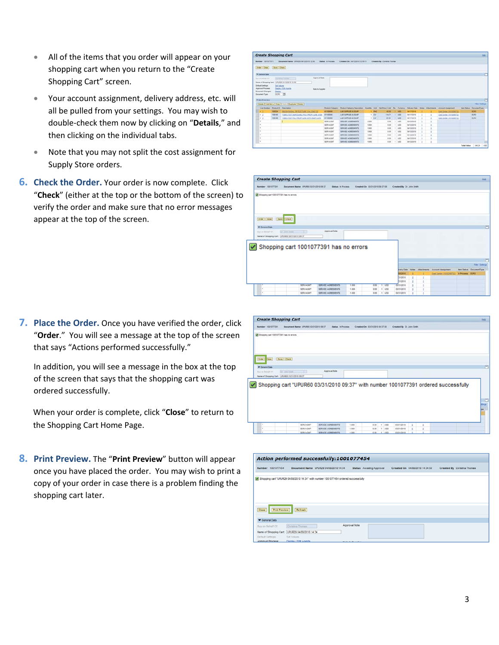- All of the items that you order will appear on your shopping cart when you return to the "Create Shopping Cart" screen.
- Your account assignment, delivery address, etc. will all be pulled from your settings. You may wish to double‐check them now by clicking on "**Details**," and then clicking on the individual tabs.
- Note that you may not split the cost assignment for Supply Store orders.
- **6. Check the Order.** Your order is now complete. Click "**Check**" (either at the top or the bottom of the screen) to verify the order and make sure that no error messages appear at the top of the screen.

|                              |                                   | <b>Create Shopping Cart</b>                                                           |                         |                                                                                                                                                                    |        |                  |                            |            |                  |  |                                                                |                    |                                                            | $\equiv$ |
|------------------------------|-----------------------------------|---------------------------------------------------------------------------------------|-------------------------|--------------------------------------------------------------------------------------------------------------------------------------------------------------------|--------|------------------|----------------------------|------------|------------------|--|----------------------------------------------------------------|--------------------|------------------------------------------------------------|----------|
| Number 1001071471            |                                   | Decement Name: LPUSZ0 04/12/2010 12:18                                                | <b>Status</b> A Process | Created On: EN1202010 1218111                                                                                                                                      |        |                  | Created By Chronica Thomas |            |                  |  |                                                                |                    |                                                            |          |
| Order (Close) [Save] (Check) |                                   |                                                                                       |                         |                                                                                                                                                                    |        |                  |                            |            |                  |  |                                                                |                    |                                                            |          |
| <b>Willenson Date</b>        |                                   |                                                                                       |                         |                                                                                                                                                                    |        |                  |                            |            |                  |  |                                                                |                    |                                                            |          |
| Roy Int Behalf 197           |                                   | Adareval Tiche<br>Dennis Premier                                                      |                         |                                                                                                                                                                    |        |                  |                            |            |                  |  |                                                                |                    |                                                            |          |
|                              |                                   | Nene of Shopping Cart. (UPURZS S412/2010 12:59)                                       |                         |                                                                                                                                                                    |        |                  |                            |            |                  |  |                                                                |                    |                                                            |          |
| Debut Setrus                 | Set Values                        |                                                                                       |                         |                                                                                                                                                                    |        |                  |                            |            |                  |  |                                                                |                    |                                                            |          |
| Assessed Process.            |                                   | Dazier (Toll Agents)<br><b>Now to Supplier</b>                                        |                         |                                                                                                                                                                    |        |                  |                            |            |                  |  |                                                                |                    |                                                            |          |
| <b>Solomed Diarges</b>       | Daster                            |                                                                                       |                         |                                                                                                                                                                    |        |                  |                            |            |                  |  |                                                                |                    |                                                            |          |
|                              |                                   |                                                                                       |                         |                                                                                                                                                                    |        |                  |                            |            |                  |  |                                                                |                    |                                                            |          |
| <b>Document Type:</b>        | <b>EDID TO</b>                    |                                                                                       |                         |                                                                                                                                                                    |        |                  |                            |            |                  |  |                                                                |                    |                                                            |          |
| <b>W ham Overview</b>        |                                   |                                                                                       |                         |                                                                                                                                                                    |        |                  |                            |            |                  |  |                                                                |                    |                                                            |          |
|                              |                                   |                                                                                       |                         |                                                                                                                                                                    |        |                  |                            |            |                  |  |                                                                |                    |                                                            |          |
|                              |                                   | Delais   Add form   Capy   Form   Dustries   Delais                                   |                         |                                                                                                                                                                    |        |                  |                            |            |                  |  |                                                                |                    |                                                            |          |
| Line Number                  | Preduct D. : Deacration<br>100324 |                                                                                       | 41150000                | Product Calencery Product Calencery Description Duartiful Unit Red Post Libert Carl Date Debuty Date United Additionally Account Associated<br>LAB SURRUES & EQUIP |        | <b>AAC</b>       | 43.92                      | $-1 - 100$ | <b>BAYTIGSHE</b> |  |                                                                | <b>Barn Status</b> | Fiker Dallergk<br>Document <sup>7</sup> ape<br><b>BORS</b> |          |
|                              | 100145                            | BRUSH ANDHL TR 1937 TUBE 11H LONG TO                                                  | AVV20DOC                | LAB SURRUPS & EQUIP                                                                                                                                                |        |                  | 114.71                     | $1 - 1000$ | 34/17/2012       |  | Cost Center (NHC20073)                                         |                    |                                                            |          |
| $-7$<br>$+2$                 | <b>SIMSAK</b>                     | TUBES TEST DISPOSABLE POLYPROPYLINE SIST<br>Tuests 1637 POLYPROPYLEM: WITH Stude CARS | 41150000                | LAB SUPPLIES & EQUIP                                                                                                                                               |        | 1.5V<br>$1 - 25$ | <b>B1.61</b>               | 1.955      | sernores         |  | <b>Cost Center (1916) profits</b><br>Cost Center (1810)(86712) |                    | too<br>BOYO                                                |          |
| ×                            |                                   |                                                                                       | <b>SERVAGNT</b>         | SERVICE AGREEMENTS                                                                                                                                                 | $+500$ |                  | 1.00                       | $+1.950$   | 04/12/2010       |  |                                                                |                    |                                                            |          |
| ٠                            |                                   |                                                                                       | <b>MINAGET</b>          | SERVER AGREEMENTS                                                                                                                                                  | 1,800  |                  | 6.36                       | 1.146      | bert2d9 (E)      |  |                                                                |                    |                                                            |          |
| ×                            |                                   |                                                                                       | SERVADAT                | SERVICE AGREEMENTS                                                                                                                                                 | 1,869  |                  | 6.96                       | $+1460$    | 94/12/2010       |  |                                                                |                    |                                                            |          |
| ٠                            |                                   |                                                                                       | <b><i>MINVAGET</i></b>  | SERVICE ADMISSIONS                                                                                                                                                 | 1,800  |                  | 6.95                       | 1.1957     | 64/12/2019       |  |                                                                |                    |                                                            |          |
| ×                            |                                   |                                                                                       | <b>SERVAGET</b>         | SERVCE ADRESSENTS                                                                                                                                                  | 1,300  |                  | 6.98                       | 1.100      | 14/12/2012       |  |                                                                |                    |                                                            |          |
| ٠                            |                                   |                                                                                       | SERVAGNT                | SERVICE AGREEMENTS                                                                                                                                                 | 1,800  |                  | 0.30                       | $+1.950$   | S4/12/2010       |  |                                                                |                    |                                                            |          |

|                                                | <b>Create Shopping Cart</b>            |                           |       |                                |            |                           |   |   |                                      |                 | their                   |
|------------------------------------------------|----------------------------------------|---------------------------|-------|--------------------------------|------------|---------------------------|---|---|--------------------------------------|-----------------|-------------------------|
| Namber 1001077391                              | Document Name UPUR60 53/31/2010 59:37  | Status in Process.        |       | Created On 03/31/2010 09:37:58 |            | Created By Dr. John Smith |   |   |                                      |                 |                         |
| Shopping cart 1001077391 has no errors         |                                        |                           |       |                                |            |                           |   |   |                                      |                 |                         |
| Criter Close                                   | <b>Save Check</b>                      |                           |       |                                |            |                           |   |   |                                      |                 |                         |
| <b>W</b> General Data                          |                                        |                           |       |                                |            |                           |   |   |                                      |                 |                         |
| Buy in Satur D1                                | <b>By Jone heats</b><br>--             | Approval Note             |       |                                |            |                           |   |   |                                      |                 |                         |
| Name of Shopping Cart: UPUR60 03/21/2010 09:37 |                                        |                           |       |                                |            |                           |   |   |                                      |                 |                         |
|                                                |                                        |                           |       |                                |            |                           |   |   |                                      |                 |                         |
| <b>Calcula Fallings</b>                        | <b>Road School</b>                     |                           |       |                                |            |                           |   |   |                                      |                 |                         |
|                                                | Shopping cart 1001077391 has no errors |                           |       |                                |            |                           |   |   |                                      |                 |                         |
|                                                |                                        |                           |       |                                |            |                           |   |   |                                      |                 |                         |
|                                                |                                        |                           |       |                                |            |                           |   |   |                                      |                 | <b>Fiter Settings</b>   |
|                                                |                                        |                           |       |                                |            | <b>Kery Date</b>          |   |   | Notes Attachments Account Assignment |                 | ten Status DocumentType |
|                                                |                                        |                           |       |                                |            | 05/2010                   |   |   | Cost Center (1210209732)             | In Process ECPO |                         |
|                                                |                                        |                           |       |                                |            | 31/2010                   |   | ż |                                      |                 |                         |
|                                                |                                        |                           |       |                                |            | 21/2010                   | ٠ | ı |                                      |                 |                         |
|                                                | <b>SEVANDI</b>                         | <b>SERVICE AGREEMENTS</b> | 1,000 | 0.001                          | $t = 0.00$ | 03/21/2010                |   |   |                                      |                 |                         |
| ٠                                              | <b>SERVAGILT</b>                       | SERVICE AGREEMENTS        | 1.500 | 0.05                           | $t$ uso    | 03/21/2010                |   | t |                                      |                 |                         |

**7. Place the Order.** Once you have verified the order, click "**Order**." You will see a message at the top of the screen that says "Actions performed successfully."

In addition, you will see a message in the box at the top of the screen that says that the shopping cart was ordered successfully.

When your order is complete, click "**Close**" to return to the Shopping Cart Home Page.

**8. Print Preview.** The "**Print Preview**" button will appear once you have placed the order. You may wish to print a copy of your order in case there is a problem finding the shopping cart later.

|                                        | <b>Create Shopping Cart</b>                                                           |                    |       |                                 |              |                           |  |  | ten               |
|----------------------------------------|---------------------------------------------------------------------------------------|--------------------|-------|---------------------------------|--------------|---------------------------|--|--|-------------------|
| Nuesber: 1001077381                    | Document Name: UPUR65 03/31/2010 09:37                                                | Status in Process  |       | Created On: 03/31/2010 09:37:58 |              | Created By Dr. John Smith |  |  |                   |
| Shepping cart 1001077281 has no errors |                                                                                       |                    |       |                                 |              |                           |  |  |                   |
| Order 2008<br><b>W</b> General Date    | Save   Check                                                                          |                    |       |                                 |              |                           |  |  | m                 |
|                                        |                                                                                       |                    |       |                                 |              |                           |  |  |                   |
|                                        | Druste teel<br>m                                                                      | Approval fiste     |       |                                 |              |                           |  |  |                   |
|                                        | Name of Shopping Cart: UPUR60 03/31/2010 09:37                                        |                    |       |                                 |              |                           |  |  |                   |
| Bay on Behalf Of                       | V Shopping cart "UPUR60 03/31/2010 09:37" with number 1001077391 ordered successfully |                    |       |                                 |              |                           |  |  | <b>be</b>         |
|                                        | <b>SERVAGINT</b>                                                                      | SERVICE AGREEMENTS | 1.000 | 0.00                            | $t$   $w$ 60 | 03/31/2010                |  |  | C<br><b>Cirga</b> |

|                                        | Action performed successfully:1001077454                                                |                         |                          |                                |                             |
|----------------------------------------|-----------------------------------------------------------------------------------------|-------------------------|--------------------------|--------------------------------|-----------------------------|
| Number 1001077454                      | Document Name UPUR29 04/08/2010 14:34                                                   |                         | Status Awaiting Approval | Created On 04/08/2010 14:34:50 | Created By Christina Thomas |
|                                        | wfl Shopping cart "UPUR29 04/08/2010 14:34" with number 1001077454 ordered successfully |                         |                          |                                |                             |
|                                        |                                                                                         |                         |                          |                                |                             |
|                                        |                                                                                         |                         |                          |                                |                             |
| Print Preview<br>Close                 | Refresh                                                                                 |                         |                          |                                |                             |
| General Data                           |                                                                                         |                         |                          |                                |                             |
| Buy on Behalf Of:                      | Christina Thomas                                                                        | Approval Note           |                          |                                |                             |
|                                        | Name of Shopping Cart: UPUR29 04/08/2010 14:34                                          |                         |                          |                                |                             |
| Default Settings:<br>Approval Process: | Set Values<br>Display / Edit Agents                                                     | <b>Mote to Supplier</b> |                          |                                |                             |